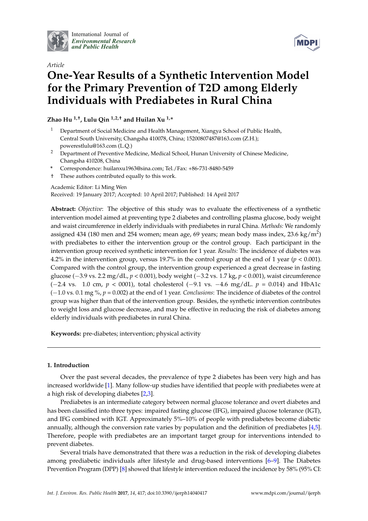

International Journal of *[Environmental Research](http://www.mdpi.com/journal/ijerph) and Public Health*



# *Article* **One-Year Results of a Synthetic Intervention Model for the Primary Prevention of T2D among Elderly Individuals with Prediabetes in Rural China**

**Zhao Hu 1,†, Lulu Qin 1,2,† and Huilan Xu 1,\***

- <sup>1</sup> Department of Social Medicine and Health Management, Xiangya School of Public Health, Central South University, Changsha 410078, China; 15200807487@163.com (Z.H.); powerestlulu@163.com (L.Q.)
- <sup>2</sup> Department of Preventive Medicine, Medical School, Hunan University of Chinese Medicine, Changsha 410208, China
- **\*** Correspondence: huilanxu1963@sina.com; Tel./Fax: +86-731-8480-5459
- † These authors contributed equally to this work.

Academic Editor: Li Ming Wen

Received: 19 January 2017; Accepted: 10 April 2017; Published: 14 April 2017

**Abstract:** *Objective*: The objective of this study was to evaluate the effectiveness of a synthetic intervention model aimed at preventing type 2 diabetes and controlling plasma glucose, body weight and waist circumference in elderly individuals with prediabetes in rural China. *Methods:* We randomly assigned 434 (180 men and 254 women; mean age, 69 years; mean body mass index, 23.6 kg/m<sup>2</sup>) with prediabetes to either the intervention group or the control group. Each participant in the intervention group received synthetic intervention for 1 year. *Results:* The incidence of diabetes was 4.2% in the intervention group, versus 19.7% in the control group at the end of 1 year (*p* < 0.001). Compared with the control group, the intervention group experienced a great decrease in fasting glucose (−3.9 vs. 2.2 mg/dL, *p* < 0.001), body weight (−3.2 vs. 1.7 kg, *p* < 0.001), waist circumference (−2.4 vs. 1.0 cm, *p* < 0001), total cholesterol (−9.1 vs. −4.6 mg/dL. *p* = 0.014) and HbA1c (−1.0 vs. 0.1 mg %, *p* = 0.002) at the end of 1 year. *Conclusions*: The incidence of diabetes of the control group was higher than that of the intervention group. Besides, the synthetic intervention contributes to weight loss and glucose decrease, and may be effective in reducing the risk of diabetes among elderly individuals with prediabetes in rural China.

**Keywords:** pre-diabetes; intervention; physical activity

# **1. Introduction**

Over the past several decades, the prevalence of type 2 diabetes has been very high and has increased worldwide [\[1\]](#page-10-0). Many follow-up studies have identified that people with prediabetes were at a high risk of developing diabetes [\[2](#page-10-1)[,3\]](#page-10-2).

Prediabetes is an intermediate category between normal glucose tolerance and overt diabetes and has been classified into three types: impaired fasting glucose (IFG), impaired glucose tolerance (IGT), and IFG combined with IGT. Approximately 5%–10% of people with prediabetes become diabetic annually, although the conversion rate varies by population and the definition of prediabetes [\[4,](#page-10-3)[5\]](#page-11-0). Therefore, people with prediabetes are an important target group for interventions intended to prevent diabetes.

Several trials have demonstrated that there was a reduction in the risk of developing diabetes among prediabetic individuals after lifestyle and drug-based interventions [\[6–](#page-11-1)[9\]](#page-11-2). The Diabetes Prevention Program (DPP) [\[8\]](#page-11-3) showed that lifestyle intervention reduced the incidence by 58% (95% CI: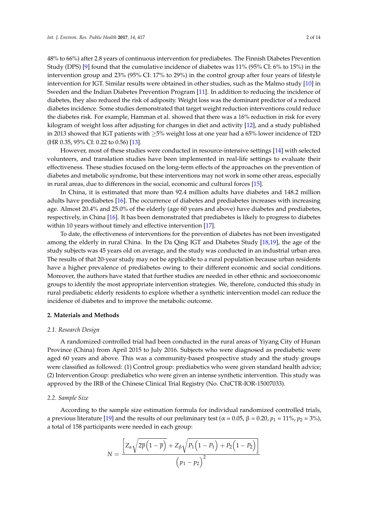48% to 66%) after 2.8 years of continuous intervention for prediabetes. The Finnish Diabetes Prevention Study (DPS) [\[9\]](#page-11-2) found that the cumulative incidence of diabetes was 11% (95% CI: 6% to 15%) in the intervention group and 23% (95% CI: 17% to 29%) in the control group after four years of lifestyle intervention for IGT. Similar results were obtained in other studies, such as the Malmo study [\[10\]](#page-11-4) in Sweden and the Indian Diabetes Prevention Program [\[11\]](#page-11-5). In addition to reducing the incidence of diabetes, they also reduced the risk of adiposity. Weight loss was the dominant predictor of a reduced diabetes incidence. Some studies demonstrated that target weight reduction interventions could reduce the diabetes risk. For example, Hamman et al. showed that there was a 16% reduction in risk for every kilogram of weight loss after adjusting for changes in diet and activity [\[12\]](#page-11-6), and a study published in 2013 showed that IGT patients with ≥5% weight loss at one year had a 65% lower incidence of T2D (HR 0.35, 95% CI: 0.22 to 0.56) [\[13\]](#page-11-7).

However, most of these studies were conducted in resource-intensive settings [\[14\]](#page-11-8) with selected volunteers, and translation studies have been implemented in real-life settings to evaluate their effectiveness. These studies focused on the long-term effects of the approaches on the prevention of diabetes and metabolic syndrome, but these interventions may not work in some other areas, especially in rural areas, due to differences in the social, economic and cultural forces [\[15\]](#page-11-9).

In China, it is estimated that more than 92.4 million adults have diabetes and 148.2 million adults have prediabetes [\[16\]](#page-11-10). The occurrence of diabetes and prediabetes increases with increasing age. Almost 20.4% and 25.0% of the elderly (age 60 years and above) have diabetes and prediabetes, respectively, in China [\[16\]](#page-11-10). It has been demonstrated that prediabetes is likely to progress to diabetes within 10 years without timely and effective intervention [\[17\]](#page-11-11).

To date, the effectiveness of interventions for the prevention of diabetes has not been investigated among the elderly in rural China. In the Da Qing IGT and Diabetes Study [\[18](#page-11-12)[,19\]](#page-11-13), the age of the study subjects was 45 years old on average, and the study was conducted in an industrial urban area. The results of that 20-year study may not be applicable to a rural population because urban residents have a higher prevalence of prediabetes owing to their different economic and social conditions. Moreover, the authors have stated that further studies are needed in other ethnic and socioeconomic groups to identify the most appropriate intervention strategies. We, therefore, conducted this study in rural prediabetic elderly residents to explore whether a synthetic intervention model can reduce the incidence of diabetes and to improve the metabolic outcome.

# **2. Materials and Methods**

#### *2.1. Research Design*

A randomized controlled trial had been conducted in the rural areas of Yiyang City of Hunan Province (China) from April 2015 to July 2016. Subjects who were diagnosed as prediabetic were aged 60 years and above. This was a community-based prospective study and the study groups were classified as followed: (1) Control group: prediabetics who were given standard health advice; (2) Intervention Group: prediabetics who were given an intense synthetic intervention. This study was approved by the IRB of the Chinese Clinical Trial Registry (No. ChiCTR-IOR-15007033).

#### *2.2. Sample Size*

According to the sample size estimation formula for individual randomized controlled trials, a previous literature [\[19\]](#page-11-13) and the results of our preliminary test ( $α = 0.05$ ,  $β = 0.20$ ,  $p_1 = 11\%, p_2 = 3\%)$ , a total of 158 participants were needed in each group:

$$
N = \frac{\left[Z_{\alpha}\sqrt{2\overline{p}\left(1-\overline{p}\right)} + Z_{\beta}\sqrt{P_1\left(1-P_1\right) + P_2\left(1-P_2\right)}\right]}{\left(p_1 - p_2\right)^2}
$$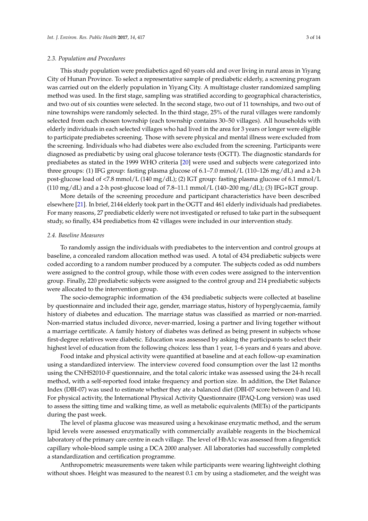This study population were prediabetics aged 60 years old and over living in rural areas in Yiyang City of Hunan Province. To select a representative sample of prediabetic elderly, a screening program was carried out on the elderly population in Yiyang City. A multistage cluster randomized sampling method was used. In the first stage, sampling was stratified according to geographical characteristics,

and two out of six counties were selected. In the second stage, two out of 11 townships, and two out of nine townships were randomly selected. In the third stage, 25% of the rural villages were randomly selected from each chosen township (each township contains 30–50 villages). All households with elderly individuals in each selected villages who had lived in the area for 3 years or longer were eligible to participate prediabetes screening. Those with severe physical and mental illness were excluded from the screening. Individuals who had diabetes were also excluded from the screening. Participants were diagnosed as prediabetic by using oral glucose tolerance tests (OGTT). The diagnostic standards for prediabetes as stated in the 1999 WHO criteria [\[20\]](#page-11-14) were used and subjects were categorized into three groups: (1) IFG group: fasting plasma glucose of 6.1–7.0 mmol/L (110–126 mg/dL) and a 2-h post-glucose load of <7.8 mmol/L (140 mg/dL); (2) IGT group: fasting plasma glucose of 6.1 mmol/L  $(110 \text{ mg/dL})$  and a 2-h post-glucose load of 7.8–11.1 mmol/L  $(140-200 \text{ mg/dL})$ ; (3) IFG+IGT group.

More details of the screening procedure and participant characteristics have been described elsewhere [\[21\]](#page-11-15). In brief, 2144 elderly took part in the OGTT and 461 elderly individuals had prediabetes. For many reasons, 27 prediabetic elderly were not investigated or refused to take part in the subsequent study, so finally, 434 prediabetics from 42 villages were included in our intervention study.

#### *2.4. Baseline Measures*

To randomly assign the individuals with prediabetes to the intervention and control groups at baseline, a concealed random allocation method was used. A total of 434 prediabetic subjects were coded according to a random number produced by a computer. The subjects coded as odd numbers were assigned to the control group, while those with even codes were assigned to the intervention group. Finally, 220 prediabetic subjects were assigned to the control group and 214 prediabetic subjects were allocated to the intervention group.

The socio-demographic information of the 434 prediabetic subjects were collected at baseline by questionnaire and included their age, gender, marriage status, history of hyperglycaemia, family history of diabetes and education. The marriage status was classified as married or non-married. Non-married status included divorce, never-married, losing a partner and living together without a marriage certificate. A family history of diabetes was defined as being present in subjects whose first-degree relatives were diabetic. Education was assessed by asking the participants to select their highest level of education from the following choices: less than 1 year, 1–6 years and 6 years and above.

Food intake and physical activity were quantified at baseline and at each follow-up examination using a standardized interview. The interview covered food consumption over the last 12 months using the CNHS2010-F questionnaire, and the total caloric intake was assessed using the 24-h recall method, with a self-reported food intake frequency and portion size. In addition, the Diet Balance Index (DBI-07) was used to estimate whether they ate a balanced diet (DBI-07 score between 0 and 14). For physical activity, the International Physical Activity Questionnaire (IPAQ-Long version) was used to assess the sitting time and walking time, as well as metabolic equivalents (METs) of the participants during the past week.

The level of plasma glucose was measured using a hexokinase enzymatic method, and the serum lipid levels were assessed enzymatically with commercially available reagents in the biochemical laboratory of the primary care centre in each village. The level of HbA1c was assessed from a fingerstick capillary whole-blood sample using a DCA 2000 analyser. All laboratories had successfully completed a standardization and certification programme.

Anthropometric measurements were taken while participants were wearing lightweight clothing without shoes. Height was measured to the nearest 0.1 cm by using a stadiometer, and the weight was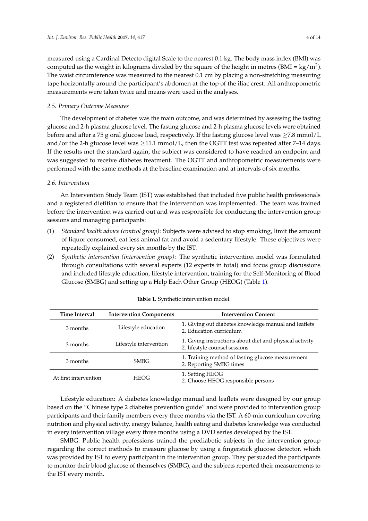measured using a Cardinal Detecto digital Scale to the nearest 0.1 kg. The body mass index (BMI) was computed as the weight in kilograms divided by the square of the height in metres (BMI = kg/m<sup>2</sup>). The waist circumference was measured to the nearest 0.1 cm by placing a non-stretching measuring tape horizontally around the participant's abdomen at the top of the iliac crest. All anthropometric measurements were taken twice and means were used in the analyses.

#### *2.5. Primary Outcome Measures*

The development of diabetes was the main outcome, and was determined by assessing the fasting glucose and 2-h plasma glucose level. The fasting glucose and 2-h plasma glucose levels were obtained before and after a 75 g oral glucose load, respectively. If the fasting glucose level was  $\geq$ 7.8 mmol/L and/or the 2-h glucose level was  $\geq 11.1$  mmol/L, then the OGTT test was repeated after 7–14 days. If the results met the standard again, the subject was considered to have reached an endpoint and was suggested to receive diabetes treatment. The OGTT and anthropometric measurements were performed with the same methods at the baseline examination and at intervals of six months.

# *2.6. Intervention*

An Intervention Study Team (IST) was established that included five public health professionals and a registered dietitian to ensure that the intervention was implemented. The team was trained before the intervention was carried out and was responsible for conducting the intervention group sessions and managing participants:

- (1) *Standard health advice (control group)*: Subjects were advised to stop smoking, limit the amount of liquor consumed, eat less animal fat and avoid a sedentary lifestyle. These objectives were repeatedly explained every six months by the IST.
- (2) *Synthetic intervention (intervention group)*: The synthetic intervention model was formulated through consultations with several experts (12 experts in total) and focus group discussions and included lifestyle education, lifestyle intervention, training for the Self-Monitoring of Blood Glucose (SMBG) and setting up a Help Each Other Group (HEOG) (Table [1\)](#page-3-0).

<span id="page-3-0"></span>

| <b>Time Interval</b>  | <b>Intervention Components</b> | <b>Intervention Content</b>                                                              |
|-----------------------|--------------------------------|------------------------------------------------------------------------------------------|
| 3 months              | Lifestyle education            | 1. Giving out diabetes knowledge manual and leaflets<br>2. Education curriculum          |
| 3 months              | Lifestyle intervention         | 1. Giving instructions about diet and physical activity<br>2. lifestyle counsel sessions |
| 3 months              | <b>SMBG</b>                    | 1. Training method of fasting glucose measurement<br>2. Reporting SMBG times             |
| At first intervention | <b>HEOG</b>                    | 1. Setting HEOG<br>2. Choose HEOG responsible persons                                    |

|  |  | Table 1. Synthetic intervention model. |  |
|--|--|----------------------------------------|--|
|--|--|----------------------------------------|--|

Lifestyle education: A diabetes knowledge manual and leaflets were designed by our group based on the "Chinese type 2 diabetes prevention guide" and were provided to intervention group participants and their family members every three months via the IST. A 60-min curriculum covering nutrition and physical activity, energy balance, health eating and diabetes knowledge was conducted in every intervention village every three months using a DVD series developed by the IST.

SMBG: Public health professions trained the prediabetic subjects in the intervention group regarding the correct methods to measure glucose by using a fingerstick glucose detector, which was provided by IST to every participant in the intervention group. They persuaded the participants to monitor their blood glucose of themselves (SMBG), and the subjects reported their measurements to the IST every month.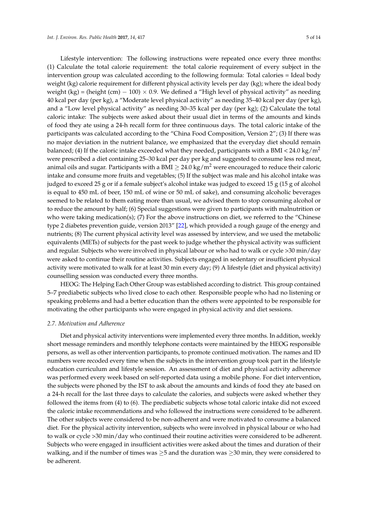Lifestyle intervention: The following instructions were repeated once every three months: (1) Calculate the total calorie requirement: the total calorie requirement of every subject in the intervention group was calculated according to the following formula: Total calories = Ideal body weight (kg) calorie requirement for different physical activity levels per day (kg); where the ideal body weight (kg) = (height (cm)  $-100$ ) × 0.9. We defined a "High level of physical activity" as needing 40 kcal per day (per kg), a "Moderate level physical activity" as needing 35–40 kcal per day (per kg), and a "Low level physical activity" as needing 30–35 kcal per day (per kg); (2) Calculate the total caloric intake: The subjects were asked about their usual diet in terms of the amounts and kinds of food they ate using a 24-h recall form for three continuous days. The total caloric intake of the participants was calculated according to the "China Food Composition, Version 2"; (3) If there was no major deviation in the nutrient balance, we emphasized that the everyday diet should remain balanced; (4) If the caloric intake exceeded what they needed, participants with a BMI <  $24.0 \text{ kg/m}^2$ were prescribed a diet containing 25–30 kcal per day per kg and suggested to consume less red meat, animal oils and sugar. Participants with a BMI  $\geq$  24.0 kg/m<sup>2</sup> were encouraged to reduce their caloric intake and consume more fruits and vegetables; (5) If the subject was male and his alcohol intake was judged to exceed 25 g or if a female subject's alcohol intake was judged to exceed 15 g (15 g of alcohol is equal to 450 mL of beer, 150 mL of wine or 50 mL of sake), and consuming alcoholic beverages seemed to be related to them eating more than usual, we advised them to stop consuming alcohol or to reduce the amount by half; (6) Special suggestions were given to participants with malnutrition or who were taking medication(s); (7) For the above instructions on diet, we referred to the "Chinese type 2 diabetes prevention guide, version 2013" [\[22\]](#page-11-16), which provided a rough gauge of the energy and nutrients; (8) The current physical activity level was assessed by interview, and we used the metabolic equivalents (METs) of subjects for the past week to judge whether the physical activity was sufficient and regular. Subjects who were involved in physical labour or who had to walk or cycle >30 min/day were asked to continue their routine activities. Subjects engaged in sedentary or insufficient physical activity were motivated to walk for at least 30 min every day; (9) A lifestyle (diet and physical activity) counselling session was conducted every three months.

HEOG: The Helping Each Other Group was established according to district. This group contained 5–7 prediabetic subjects who lived close to each other. Responsible people who had no listening or speaking problems and had a better education than the others were appointed to be responsible for motivating the other participants who were engaged in physical activity and diet sessions.

#### *2.7. Motivation and Adherence*

Diet and physical activity interventions were implemented every three months. In addition, weekly short message reminders and monthly telephone contacts were maintained by the HEOG responsible persons, as well as other intervention participants, to promote continued motivation. The names and ID numbers were recoded every time when the subjects in the intervention group took part in the lifestyle education curriculum and lifestyle session. An assessment of diet and physical activity adherence was performed every week based on self-reported data using a mobile phone. For diet intervention, the subjects were phoned by the IST to ask about the amounts and kinds of food they ate based on a 24-h recall for the last three days to calculate the calories, and subjects were asked whether they followed the items from (4) to (6). The prediabetic subjects whose total caloric intake did not exceed the caloric intake recommendations and who followed the instructions were considered to be adherent. The other subjects were considered to be non-adherent and were motivated to consume a balanced diet. For the physical activity intervention, subjects who were involved in physical labour or who had to walk or cycle >30 min/day who continued their routine activities were considered to be adherent. Subjects who were engaged in insufficient activities were asked about the times and duration of their walking, and if the number of times was ≥5 and the duration was ≥30 min, they were considered to be adherent.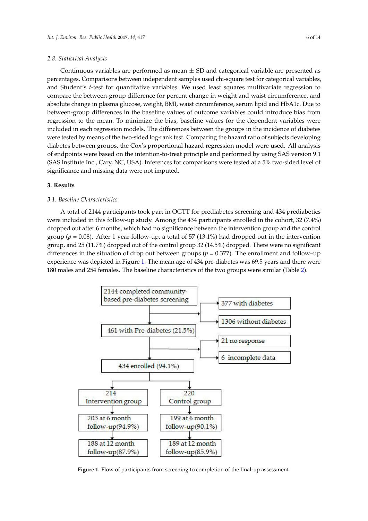#### *2.8. Statistical Analysis*

Continuous variables are performed as mean  $\pm$  SD and categorical variable are presented as percentages. Comparisons between independent samples used chi-square test for categorical variables, and Student's *t*-test for quantitative variables. We used least squares multivariate regression to compare the between-group difference for percent change in weight and waist circumference, and absolute change in plasma glucose, weight, BMI, waist circumference, serum lipid and HbA1c. Due to *Int. J. Environ. Res. Public Health* **2017**, *14*, 417 6 of 13 between-group differences in the baseline values of outcome variables could introduce bias from regression to the mean. To minimize the bias, baseline values for the dependent variables were included in each regression models. The differences between the groups in the incidence of diabetes were tested by means of the two-sided log-rank test. Comparing the hazard ratio of subjects developing diabetes between groups, the Cox's proportional hazard regression model were used. All analysis of endpoints were based on the intention-to-treat principle and performed by using SAS version 9.1 (SAS Institute Inc., Cary, NC, USA). Inferences for comparisons were tested at a 5% two-sided level of significance and missing data were not imputed. **3. Results** 

# **3. Results**

#### *3.1. Baseline Characteristics*  $\alpha$  total of 2144 participants to  $\alpha$  part in  $\alpha$

A total of 2144 participants took part in OGTT for prediabetes screening and 434 prediabetics were included in this follow-up study. Among the 434 participants enrolled in the cohort, 32 (7.4%) dropped out after 6 months, which had no significance between the intervention group and the control group ( $p = 0.08$ ). After 1 year follow-up, a total of 57 (13.1%) had dropped out in the intervention group, and 25 (11.7%) dropped out of the control group 32 (14.5%) dropped. There were no significant differences in the situation of drop out between groups ( $p = 0.377$ ). The enrollment and follow–up experience was depicted in Figure [1.](#page-5-0) The mean age of 434 pre-diabetes was 69.5 years and there were 180 males and 254 females. The baseline characteristics of the two groups were similar (Table [2\)](#page-6-0).

<span id="page-5-0"></span>

**Figure 1.** Figure 1. Flow of the final-up assessment to completion of the final-up assessment. **Figure 1.** Flow of participants from screening to completion of the final-up assessment.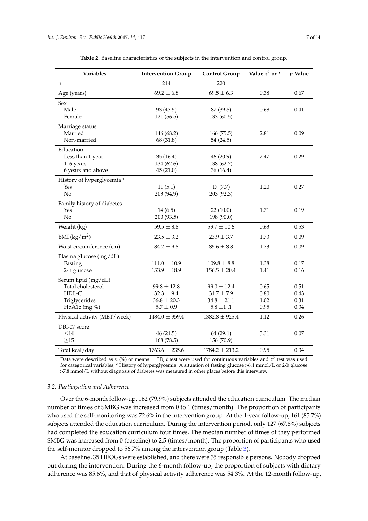<span id="page-6-0"></span>

| Variables                    | <b>Intervention Group</b> | <b>Control Group</b> | Value $x^2$ or $t$ | $p$ Value |
|------------------------------|---------------------------|----------------------|--------------------|-----------|
| n                            | 214                       | 220                  |                    |           |
| Age (years)                  | $69.2 \pm 6.8$            | $69.5 \pm 6.3$       | 0.38               | 0.67      |
| Sex                          |                           |                      |                    |           |
| Male                         | 93 (43.5)                 | 87 (39.5)            | 0.68               | 0.41      |
| Female                       | 121 (56.5)                | 133 (60.5)           |                    |           |
| Marriage status              |                           |                      |                    |           |
| Married                      | 146 (68.2)                | 166 (75.5)           | 2.81               | 0.09      |
| Non-married                  | 68 (31.8)                 | 54 (24.5)            |                    |           |
| Education                    |                           |                      |                    |           |
| Less than 1 year             | 35(16.4)                  | 46(20.9)             | 2.47               | 0.29      |
| 1–6 years                    | 134 (62.6)                | 138 (62.7)           |                    |           |
| 6 years and above            | 45(21.0)                  | 36(16.4)             |                    |           |
| History of hyperglycemia *   |                           |                      |                    |           |
| Yes                          | 11(5.1)                   | 17(7.7)              | 1.20               | 0.27      |
| No                           | 203 (94.9)                | 203 (92.3)           |                    |           |
| Family history of diabetes   |                           |                      |                    |           |
| Yes                          | 14(6.5)                   | 22(10.0)             | 1.71               | 0.19      |
| No                           | 200 (93.5)                | 198 (90.0)           |                    |           |
| Weight (kg)                  | $59.5 \pm 8.8$            | $59.7 \pm 10.6$      | 0.63               | 0.53      |
| BMI $(kg/m^2)$               | $23.5 \pm 3.2$            | $23.9 \pm 3.7$       | 1.73               | 0.09      |
| Waist circumference (cm)     | $84.2 \pm 9.8$            | $85.6 \pm 8.8$       | 1.73               | 0.09      |
| Plasma glucose (mg/dL)       |                           |                      |                    |           |
| Fasting                      | $111.0 \pm 10.9$          | $109.8 \pm 8.8$      | 1.38               | 0.17      |
| 2-h glucose                  | $153.9 \pm 18.9$          | $156.5 \pm 20.4$     | 1.41               | 0.16      |
| Serum lipid (mg/dL)          |                           |                      |                    |           |
| Total cholesterol            | $99.8 \pm 12.8$           | $99.0 \pm 12.4$      | 0.65               | 0.51      |
| HDL-C                        | $32.3 \pm 9.4$            | $31.7 \pm 7.9$       | 0.80               | 0.43      |
| Triglycerides                | $36.8 \pm 20.3$           | $34.8 \pm 21.1$      | 1.02               | 0.31      |
| HbA1c $(mg\% )$              | $5.7 \pm 0.9$             | $5.8 \pm 1.1$        | 0.95               | 0.34      |
| Physical activity (MET/week) | $1484.0 \pm 959.4$        | $1382.8 \pm 925.4$   | 1.12               | 0.26      |
| DBI-07 score                 |                           |                      |                    |           |
| $\leq$ 14                    | 46(21.5)                  | 64(29.1)             | 3.31               | 0.07      |
| $\geq$ 15                    | 168 (78.5)                | 156 (70.9)           |                    |           |
| Total kcal/day               | $1763.6 \pm 235.6$        | $1784.2 \pm 213.2$   | 0.95               | 0.34      |

**Table 2.** Baseline characteristics of the subjects in the intervention and control group.

Data were described as *n* (%) or means  $\pm$  SD, *t* test were used for continuous variables and  $x^2$  test was used for categorical variables; \* History of hyperglycemia: A situation of fasting glucose >6.1 mmol/L or 2-h glucose >7.8 mmol/L without diagnosis of diabetes was measured in other places before this interview.

#### *3.2. Participation and Adherence*

Over the 6-month follow-up, 162 (79.9%) subjects attended the education curriculum. The median number of times of SMBG was increased from 0 to 1 (times/month). The proportion of participants who used the self-monitoring was 72.6% in the intervention group. At the 1-year follow-up, 161 (85.7%) subjects attended the education curriculum. During the intervention period, only 127 (67.8%) subjects had completed the education curriculum four times. The median number of times of they performed SMBG was increased from 0 (baseline) to 2.5 (times/month). The proportion of participants who used the self-monitor dropped to 56.7% among the intervention group (Table [3\)](#page-7-0).

At baseline, 35 HEOGs were established, and there were 35 responsible persons. Nobody dropped out during the intervention. During the 6-month follow-up, the proportion of subjects with dietary adherence was 85.6%, and that of physical activity adherence was 54.3%. At the 12-month follow-up,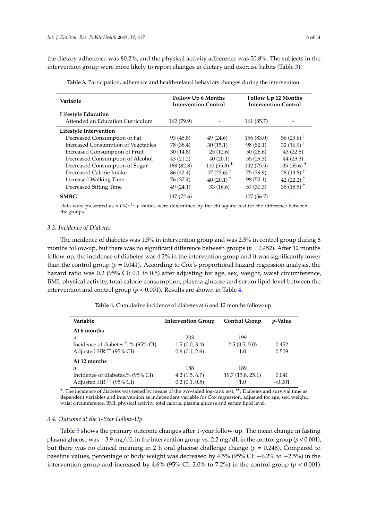<span id="page-7-0"></span>the dietary adherence was 80.2%, and the physical activity adherence was 50.8%. The subjects in the intervention group were more likely to report changes in dietary and exercise habits (Table [3\)](#page-7-0).

| Variable                                   | <b>Follow Up 6 Months</b><br><b>Intervention Control</b> |                                     | <b>Follow Up 12 Months</b><br><b>Intervention Control</b> |                                     |
|--------------------------------------------|----------------------------------------------------------|-------------------------------------|-----------------------------------------------------------|-------------------------------------|
| <b>Lifestyle Education</b>                 |                                                          |                                     |                                                           |                                     |
| Attended an Education Curriculum           | 162(79.9)                                                |                                     | 161 (85.7)                                                |                                     |
| Lifestyle Intervention                     |                                                          |                                     |                                                           |                                     |
| Decreased Consumption of Fat               | 93 (45.8)                                                | 49 (24.6) <sup><math>+</math></sup> | 156 (83.0)                                                | $56(29.6)$ <sup>+</sup>             |
| <b>Increased Consumption of Vegetables</b> | 78 (38.4)                                                | 30 $(15.1)$ <sup>+</sup>            | 98 (52.1)                                                 | 32 $(16.9)$ <sup>+</sup>            |
| Increased Consumption of Fruit             | 30(14.8)                                                 | 25(12.6)                            | 50(26.6)                                                  | 43(22.8)                            |
| Decreased Consumption of Alcohol           | 43(21.2)                                                 | 40(20.1)                            | 55(29.3)                                                  | 44 (23.3)                           |
| Decreased Consumption of Sugar             | 168 (82.8)                                               | $110(55.3)^{+}$                     | 142 (75.5)                                                | $105(55.6)^{+}$                     |
| Decreased Calorie Intake                   | 86 (42.4)                                                | 47 $(23.6)$ <sup>+</sup>            | 75 (39.9)                                                 | $28(14.8)$ <sup>+</sup>             |
| <b>Increased Walking Time</b>              | 76 (37.4)                                                | $40(20.1)^{+}$                      | 98 (52.1)                                                 | 42 $(22.2)$ <sup>+</sup>            |
| Decreased Sitting Time                     | 49 (24.1)                                                | 33(16.6)                            | 57 (30.3)                                                 | 35 (18.5) <sup><math>+</math></sup> |
| <b>SMBG</b>                                | 147 (72.6)                                               |                                     | 107(56.7)                                                 |                                     |

**Table 3.** Participation, adherence and health-related behaviors changes during the intervention.

Data were presented as *n* (%); <sup>†</sup>: *p* values were determined by the chi-square test for the difference between the groups.

### *3.3. Incidence of Diabetes*

The incidence of diabetes was 1.5% in intervention group and was 2.5% in control group during 6 months follow-up, but there was no significant difference between groups (*p* = 0.452). After 12 months follow-up, the incidence of diabetes was 4.2% in the intervention group and it was significantly lower than the control group ( $p = 0.041$ ). According to Cox's proportional hazard regression analysis, the hazard ratio was 0.2 (95% CI: 0.1 to 0.5) after adjusting for age, sex, weight, waist circumference, BMI, physical activity, total calorie consumption, plasma glucose and serum lipid level between the intervention and control group ( $p < 0.001$ ). Results are shown in Table [4.](#page-7-1)

**Table 4.** Cumulative incidence of diabetes at 6 and 12 months follow-up.

<span id="page-7-1"></span>

| <b>Intervention Group</b> | <b>Control Group</b> | <i>v</i> -Value |
|---------------------------|----------------------|-----------------|
|                           |                      |                 |
| 203                       | 199                  |                 |
| 1.5(0.0, 3.4)             | 2.5(0.5, 5.0)        | 0.452           |
| 0.6(0.1, 2.6)             | 1.0                  | 0.509           |
|                           |                      |                 |
| 188                       | 189                  |                 |
| 4.2(1.5, 6.7)             | 19.7 (13.8, 25.1)    | 0.041           |
| 0.2(0.1, 0.5)             | 1.0                  | < 0.001         |
|                           |                      |                 |

<sup>†</sup>: The incidence of diabetes was tested by means of the two-sided log-rank test; <sup>††</sup>: Diabetes and survival time as dependent variables and intervention as independent variable for Cox regression, adjusted for age, sex, weight, waist circumference, BMI, physical activity, total calorie, plasma glucose and serum lipid level.

#### *3.4. Outcome at the 1-Year Follow-Up*

Table [5](#page-8-0) shows the primary outcome changes after 1-year follow-up. The mean change in fasting plasma glucose was −3.9 mg/dL in the intervention group vs. 2.2 mg/dL in the control group (*p* < 0.001), but there was no clinical meaning in 2 h oral glucose challenge change  $(p = 0.246)$ . Compared to baseline values, percentage of body weight was decreased by 4.5% (95% CI: −6.2% to −2.5%) in the intervention group and increased by  $4.6\%$  (95% CI: 2.0% to 7.2%) in the control group ( $p < 0.001$ ).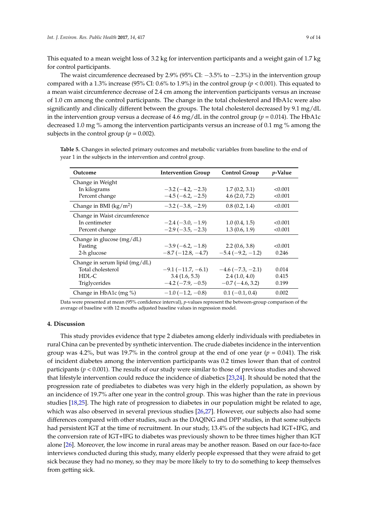This equated to a mean weight loss of 3.2 kg for intervention participants and a weight gain of 1.7 kg for control participants.

The waist circumference decreased by 2.9% (95% CI: −3.5% to −2.3%) in the intervention group compared with a 1.3% increase (95% CI: 0.6% to 1.9%) in the control group ( $p < 0.001$ ). This equated to a mean waist circumference decrease of 2.4 cm among the intervention participants versus an increase of 1.0 cm among the control participants. The change in the total cholesterol and HbA1c were also significantly and clinically different between the groups. The total cholesterol decreased by 9.1 mg/dL in the intervention group versus a decrease of 4.6 mg/dL in the control group ( $p = 0.014$ ). The HbA1c decreased 1.0 mg % among the intervention participants versus an increase of 0.1 mg % among the subjects in the control group ( $p = 0.002$ ).

| Outcome                           | <b>Intervention Group</b>  | <b>Control Group</b>   | <i>p</i> -Value |
|-----------------------------------|----------------------------|------------------------|-----------------|
| Change in Weight                  |                            |                        |                 |
| In kilograms                      | $-3.2(-4.2,-2.3)$          | 1.7(0.2, 3.1)          | < 0.001         |
| Percent change                    | $-4.5(-6.2,-2.5)$          | 4.6(2.0, 7.2)          | < 0.001         |
| Change in BMI ( $\text{kg/m}^2$ ) | $-3.2(-3.8,-2.9)$          | 0.8(0.2, 1.4)          | < 0.001         |
| Change in Waist circumference     |                            |                        |                 |
| In centimeter                     | $-2.4(-3.0,-1.9)$          | 1.0(0.4, 1.5)          | < 0.001         |
| Percent change                    | $-2.9(-3.5,-2.3)$          | 1.3(0.6, 1.9)          | < 0.001         |
| Change in glucose $(mg/dL)$       |                            |                        |                 |
| Fasting                           | $-3.9(-6.2,-1.8)$          | 2.2(0.6, 3.8)          | < 0.001         |
| 2-h glucose                       | $-8.7(-12.8,-4.7)$         | $-5.4(-9.2,-1.2)$      | 0.246           |
| Change in serum lipid $(mg/dL)$   |                            |                        |                 |
| Total cholesterol                 | $-9.1(-11.7, -6.1)$        | $-4.6(-7.3,-2.1)$      | 0.014           |
| HDL-C                             | 3.4(1.6, 5.3)              | 2.4(1.0, 4.0)          | 0.415           |
| Triglycerides                     | $-4.2$ ( $-7.9$ , $-0.5$ ) | $-0.7$ ( $-4.6$ , 3.2) | 0.199           |
| Change in HbA1c (mg %)            | $-1.0$ ( $-1.2$ , $-0.8$ ) | $0.1(-0.1, 0.4)$       | 0.002           |

<span id="page-8-0"></span>**Table 5.** Changes in selected primary outcomes and metabolic variables from baseline to the end of year 1 in the subjects in the intervention and control group.

Data were presented at mean (95% confidence interval), *p*-values represent the between-group comparison of the average of baseline with 12 mouths adjusted baseline values in regression model.

# **4. Discussion**

This study provides evidence that type 2 diabetes among elderly individuals with prediabetes in rural China can be prevented by synthetic intervention. The crude diabetes incidence in the intervention group was 4.2%, but was 19.7% in the control group at the end of one year ( $p = 0.041$ ). The risk of incident diabetes among the intervention participants was 0.2 times lower than that of control participants ( $p < 0.001$ ). The results of our study were similar to those of previous studies and showed that lifestyle intervention could reduce the incidence of diabetics [\[23](#page-12-0)[,24\]](#page-12-1). It should be noted that the progression rate of prediabetes to diabetes was very high in the elderly population, as shown by an incidence of 19.7% after one year in the control group. This was higher than the rate in previous studies [\[18](#page-11-12)[,25\]](#page-12-2). The high rate of progression to diabetes in our population might be related to age, which was also observed in several previous studies [\[26](#page-12-3)[,27\]](#page-12-4). However, our subjects also had some differences compared with other studies, such as the DAQING and DPP studies, in that some subjects had persistent IGT at the time of recruitment. In our study, 13.4% of the subjects had IGT+IFG, and the conversion rate of IGT+IFG to diabetes was previously shown to be three times higher than IGT alone [\[26\]](#page-12-3). Moreover, the low income in rural areas may be another reason. Based on our face-to-face interviews conducted during this study, many elderly people expressed that they were afraid to get sick because they had no money, so they may be more likely to try to do something to keep themselves from getting sick.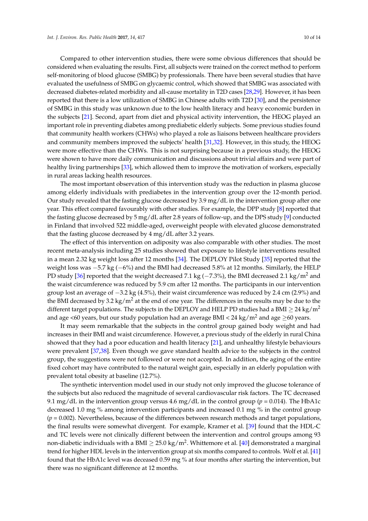Compared to other intervention studies, there were some obvious differences that should be considered when evaluating the results. First, all subjects were trained on the correct method to perform self-monitoring of blood glucose (SMBG) by professionals. There have been several studies that have evaluated the usefulness of SMBG on glycaemic control, which showed that SMBG was associated with decreased diabetes-related morbidity and all-cause mortality in T2D cases [\[28](#page-12-5)[,29\]](#page-12-6). However, it has been reported that there is a low utilization of SMBG in Chinese adults with T2D [\[30\]](#page-12-7), and the persistence of SMBG in this study was unknown due to the low health literacy and heavy economic burden in the subjects [\[21\]](#page-11-15). Second, apart from diet and physical activity intervention, the HEOG played an important role in preventing diabetes among prediabetic elderly subjects. Some previous studies found that community health workers (CHWs) who played a role as liaisons between healthcare providers and community members improved the subjects' health [\[31](#page-12-8)[,32\]](#page-12-9). However, in this study, the HEOG were more effective than the CHWs. This is not surprising because in a previous study, the HEOG were shown to have more daily communication and discussions about trivial affairs and were part of healthy living partnerships [\[33\]](#page-12-10), which allowed them to improve the motivation of workers, especially in rural areas lacking health resources.

The most important observation of this intervention study was the reduction in plasma glucose among elderly individuals with prediabetes in the intervention group over the 12-month period. Our study revealed that the fasting glucose decreased by  $3.9 \,\text{mg}/\text{d}$  in the intervention group after one year. This effect compared favourably with other studies. For example, the DPP study [\[8\]](#page-11-3) reported that the fasting glucose decreased by 5 mg/dL after 2.8 years of follow-up, and the DPS study [\[9\]](#page-11-2) conducted in Finland that involved 522 middle-aged, overweight people with elevated glucose demonstrated that the fasting glucose decreased by 4 mg/dL after 3.2 years.

The effect of this intervention on adiposity was also comparable with other studies. The most recent meta-analysis including 25 studies showed that exposure to lifestyle interventions resulted in a mean 2.32 kg weight loss after 12 months [\[34\]](#page-12-11). The DEPLOY Pilot Study [\[35\]](#page-12-12) reported that the weight loss was −5.7 kg (−6%) and the BMI had decreased 5.8% at 12 months. Similarly, the HELP PD study [\[36\]](#page-12-13) reported that the weight decreased 7.1 kg ( $-7.3\%$ ), the BMI decreased 2.1 kg/m<sup>2</sup> and the waist circumference was reduced by 5.9 cm after 12 months. The participants in our intervention group lost an average of −3.2 kg (4.5%), their waist circumference was reduced by 2.4 cm (2.9%) and the BMI decreased by 3.2 kg/m<sup>2</sup> at the end of one year. The differences in the results may be due to the different target populations. The subjects in the DEPLOY and HELP PD studies had a BMI  $\geq$  24 kg/m<sup>2</sup> and age <60 years, but our study population had an average BMI <  $24 \text{ kg/m}^2$  and age  $\geq 60$  years.

It may seem remarkable that the subjects in the control group gained body weight and had increases in their BMI and waist circumference. However, a previous study of the elderly in rural China showed that they had a poor education and health literacy [\[21\]](#page-11-15), and unhealthy lifestyle behaviours were prevalent [\[37](#page-12-14)[,38\]](#page-12-15). Even though we gave standard health advice to the subjects in the control group, the suggestions were not followed or were not accepted. In addition, the aging of the entire fixed cohort may have contributed to the natural weight gain, especially in an elderly population with prevalent total obesity at baseline (12.7%).

The synthetic intervention model used in our study not only improved the glucose tolerance of the subjects but also reduced the magnitude of several cardiovascular risk factors. The TC decreased 9.1 mg/dL in the intervention group versus 4.6 mg/dL in the control group ( $p = 0.014$ ). The HbA1c decreased 1.0 mg % among intervention participants and increased 0.1 mg % in the control group  $(p = 0.002)$ . Nevertheless, because of the differences between research methods and target populations, the final results were somewhat divergent. For example, Kramer et al. [\[39\]](#page-12-16) found that the HDL-C and TC levels were not clinically different between the intervention and control groups among 93 non-diabetic individuals with a BMI  $\geq$  25.0 kg/m<sup>2</sup>. Whittemore et al. [\[40\]](#page-12-17) demonstrated a marginal trend for higher HDL levels in the intervention group at six months compared to controls. Wolf et al. [\[41\]](#page-13-0) found that the HbA1c level was deceased 0.59 mg % at four months after starting the intervention, but there was no significant difference at 12 months.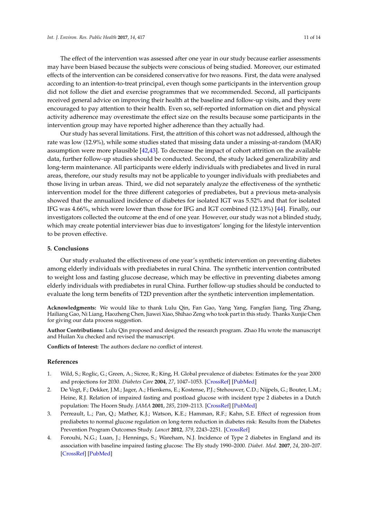The effect of the intervention was assessed after one year in our study because earlier assessments may have been biased because the subjects were conscious of being studied. Moreover, our estimated effects of the intervention can be considered conservative for two reasons. First, the data were analysed according to an intention-to-treat principal, even though some participants in the intervention group did not follow the diet and exercise programmes that we recommended. Second, all participants received general advice on improving their health at the baseline and follow-up visits, and they were encouraged to pay attention to their health. Even so, self-reported information on diet and physical activity adherence may overestimate the effect size on the results because some participants in the intervention group may have reported higher adherence than they actually had.

Our study has several limitations. First, the attrition of this cohort was not addressed, although the rate was low (12.9%), while some studies stated that missing data under a missing-at-random (MAR) assumption were more plausible [\[42](#page-13-1)[,43\]](#page-13-2). To decrease the impact of cohort attrition on the available data, further follow-up studies should be conducted. Second, the study lacked generalizability and long-term maintenance. All participants were elderly individuals with prediabetes and lived in rural areas, therefore, our study results may not be applicable to younger individuals with prediabetes and those living in urban areas. Third, we did not separately analyze the effectiveness of the synthetic intervention model for the three different categories of prediabetes, but a previous meta-analysis showed that the annualized incidence of diabetes for isolated IGT was 5.52% and that for isolated IFG was 4.66%, which were lower than those for IFG and IGT combined (12.13%) [\[44\]](#page-13-3). Finally, our investigators collected the outcome at the end of one year. However, our study was not a blinded study, which may create potential interviewer bias due to investigators' longing for the lifestyle intervention to be proven effective.

#### **5. Conclusions**

Our study evaluated the effectiveness of one year's synthetic intervention on preventing diabetes among elderly individuals with prediabetes in rural China. The synthetic intervention contributed to weight loss and fasting glucose decrease, which may be effective in preventing diabetes among elderly individuals with prediabetes in rural China. Further follow-up studies should be conducted to evaluate the long term benefits of T2D prevention after the synthetic intervention implementation.

**Acknowledgments:** We would like to thank Lulu Qin, Fan Gao, Yang Yang, Fangfan Jiang, Ting Zhang, Hailiang Gao, Ni Liang, Haozheng Chen, Jiawei Xiao, Shihao Zeng who took part in this study. Thanks Xunjie Chen for giving our data process suggestion.

**Author Contributions:** Lulu Qin proposed and designed the research program. Zhao Hu wrote the manuscript and Huilan Xu checked and revised the manuscript.

**Conflicts of Interest:** The authors declare no conflict of interest.

# **References**

- <span id="page-10-0"></span>1. Wild, S.; Roglic, G.; Green, A.; Sicree, R.; King, H. Global prevalence of diabetes: Estimates for the year 2000 and projections for 2030. *Diabetes Care* **2004**, *27*, 1047–1053. [\[CrossRef\]](http://dx.doi.org/10.2337/diacare.27.5.1047) [\[PubMed\]](http://www.ncbi.nlm.nih.gov/pubmed/15111519)
- <span id="page-10-1"></span>2. De Vegt, F.; Dekker, J.M.; Jager, A.; Hienkens, E.; Kostense, P.J.; Stehouwer, C.D.; Nijpels, G.; Bouter, L.M.; Heine, R.J. Relation of impaired fasting and postload glucose with incident type 2 diabetes in a Dutch population: The Hoorn Study. *JAMA* **2001**, *285*, 2109–2113. [\[CrossRef\]](http://dx.doi.org/10.1001/jama.285.16.2109) [\[PubMed\]](http://www.ncbi.nlm.nih.gov/pubmed/11311100)
- <span id="page-10-2"></span>3. Perreault, L.; Pan, Q.; Mather, K.J.; Watson, K.E.; Hamman, R.F.; Kahn, S.E. Effect of regression from prediabetes to normal glucose regulation on long-term reduction in diabetes risk: Results from the Diabetes Prevention Program Outcomes Study. *Lancet* **2012**, *379*, 2243–2251. [\[CrossRef\]](http://dx.doi.org/10.1016/S0140-6736(12)60525-X)
- <span id="page-10-3"></span>4. Forouhi, N.G.; Luan, J.; Hennings, S.; Wareham, N.J. Incidence of Type 2 diabetes in England and its association with baseline impaired fasting glucose: The Ely study 1990–2000. *Diabet. Med.* **2007**, *24*, 200–207. [\[CrossRef\]](http://dx.doi.org/10.1111/j.1464-5491.2007.02068.x) [\[PubMed\]](http://www.ncbi.nlm.nih.gov/pubmed/17257284)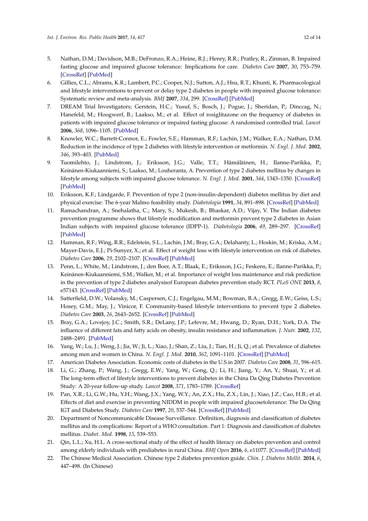- <span id="page-11-0"></span>5. Nathan, D.M.; Davidson, M.B.; DeFronzo, R.A.; Heine, R.J.; Henry, R.R.; Pratley, R.; Zinman, B. Impaired fasting glucose and impaired glucose tolerance: Implications for care. *Diabetes Care* **2007**, *30*, 753–759. [\[CrossRef\]](http://dx.doi.org/10.2337/dc07-9920) [\[PubMed\]](http://www.ncbi.nlm.nih.gov/pubmed/17327355)
- <span id="page-11-1"></span>6. Gillies, C.L.; Abrams, K.R.; Lambert, P.C.; Cooper, N.J.; Sutton, A.J.; Hsu, R.T.; Khunti, K. Pharmacological and lifestyle interventions to prevent or delay type 2 diabetes in people with impaired glucose tolerance: Systematic review and meta-analysis. *BMJ* **2007**, *334*, 299. [\[CrossRef\]](http://dx.doi.org/10.1136/bmj.39063.689375.55) [\[PubMed\]](http://www.ncbi.nlm.nih.gov/pubmed/17237299)
- 7. DREAM Trial Investigators; Gerstein, H.C.; Yusuf, S.; Bosch, J.; Pogue, J.; Sheridan, P.; Dinccag, N.; Hanefeld, M.; Hoogwerf, B.; Laakso, M.; et al. Effect of rosiglitazone on the frequency of diabetes in patients with impaired glucose tolerance or impaired fasting glucose: A randomised controlled trial. *Lancet* **2006**, *368*, 1096–1105. [\[PubMed\]](http://www.ncbi.nlm.nih.gov/pubmed/16997664)
- <span id="page-11-3"></span>8. Knowler, W.C.; Barrett-Connor, E.; Fowler, S.E.; Hamman, R.F.; Lachin, J.M.; Walker, E.A.; Nathan, D.M. Reduction in the incidence of type 2 diabetes with lifestyle intervention or metformin. *N. Engl. J. Med.* **2002**, *346*, 393–403. [\[PubMed\]](http://www.ncbi.nlm.nih.gov/pubmed/11832527)
- <span id="page-11-2"></span>9. Tuomilehto, J.; Lindstrom, J.; Eriksson, J.G.; Valle, T.T.; Hämäläinen, H.; Ilanne-Parikka, P.; Keinänen-Kiukaanniemi, S.; Laakso, M.; Louheranta, A. Prevention of type 2 diabetes mellitus by changes in lifestyle among subjects with impaired glucose tolerance. *N. Engl. J. Med.* **2001**, *344*, 1343–1350. [\[CrossRef\]](http://dx.doi.org/10.1056/NEJM200105033441801) [\[PubMed\]](http://www.ncbi.nlm.nih.gov/pubmed/11333990)
- <span id="page-11-4"></span>10. Eriksson, K.F.; Lindgarde, F. Prevention of type 2 (non-insulin-dependent) diabetes mellitus by diet and physical exercise: The 6-year Malmo feasibility study. *Diabetologia* **1991**, *34*, 891–898. [\[CrossRef\]](http://dx.doi.org/10.1007/BF00400196) [\[PubMed\]](http://www.ncbi.nlm.nih.gov/pubmed/1778354)
- <span id="page-11-5"></span>11. Ramachandran, A.; Snehalatha, C.; Mary, S.; Mukesh, B.; Bhaskar, A.D.; Vijay, V. The Indian diabetes prevention programme shows that lifestyle modification and metformin prevent type 2 diabetes in Asian Indian subjects with impaired glucose tolerance (IDPP-1). *Diabetologia* **2006**, *49*, 289–297. [\[CrossRef\]](http://dx.doi.org/10.1007/s00125-005-0097-z) [\[PubMed\]](http://www.ncbi.nlm.nih.gov/pubmed/16391903)
- <span id="page-11-6"></span>12. Hamman, R.F.; Wing, R.R.; Edelstein, S.L.; Lachin, J.M.; Bray, G.A.; Delahanty, L.; Hoskin, M.; Kriska, A.M.; Mayer-Davis, E.J.; Pi-Sunyer, X.; et al. Effect of weight loss with lifestyle intervention on risk of diabetes. *Diabetes Care* **2006**, *29*, 2102–2107. [\[CrossRef\]](http://dx.doi.org/10.2337/dc06-0560) [\[PubMed\]](http://www.ncbi.nlm.nih.gov/pubmed/16936160)
- <span id="page-11-7"></span>13. Penn, L.; White, M.; Lindstrom, J.; den Boer, A.T.; Blaak, E.; Eriksson, J.G.; Feskens, E.; Ilanne-Parikka, P.; Keinänen-Kiukaanniemi, S.M.; Walker, M.; et al. Importance of weight loss maintenance and risk prediction in the prevention of type 2 diabetes analysisof European diabetes prevention study RCT. *PLoS ONE* **2013**, *8*, e57143. [\[CrossRef\]](http://dx.doi.org/10.1371/journal.pone.0057143) [\[PubMed\]](http://www.ncbi.nlm.nih.gov/pubmed/23451166)
- <span id="page-11-8"></span>14. Satterfield, D.W.; Volansky, M.; Caspersen, C.J.; Engelgau, M.M.; Bowman, B.A.; Gregg, E.W.; Geiss, L.S.; Hosey, G.M.; May, J.; Vinicor, F. Community-based lifestyle interventions to prevent type 2 diabetes. *Diabetes Care* **2003**, *26*, 2643–2652. [\[CrossRef\]](http://dx.doi.org/10.2337/diacare.26.9.2643) [\[PubMed\]](http://www.ncbi.nlm.nih.gov/pubmed/12941733)
- <span id="page-11-9"></span>15. Bray, G.A.; Lovejoy, J.C.; Smith, S.R.; DeLany, J.P.; Lefevre, M.; Hwang, D.; Ryan, D.H.; York, D.A. The influence of different fats and fatty acids on obesity, insulin resistance and inflammation. *J. Nutr.* **2002**, *132*, 2488–2491. [\[PubMed\]](http://www.ncbi.nlm.nih.gov/pubmed/12221198)
- <span id="page-11-10"></span>16. Yang, W.; Lu, J.; Weng, J.; Jia, W.; Ji, L.; Xiao, J.; Shan, Z.; Liu, J.; Tian, H.; Ji, Q.; et al. Prevalence of diabetes among men and women in China. *N. Engl. J. Med.* **2010**, *362*, 1091–1101. [\[CrossRef\]](http://dx.doi.org/10.1056/NEJMoa0908292) [\[PubMed\]](http://www.ncbi.nlm.nih.gov/pubmed/20335585)
- <span id="page-11-11"></span>17. American Diabetes Association. Economic costs of diabetes in the U.S.in 2007. *Diabetes Care* **2008**, *31*, 596–615.
- <span id="page-11-12"></span>18. Li, G.; Zhang, P.; Wang, J.; Gregg, E.W.; Yang, W.; Gong, Q.; Li, H.; Jiang, Y.; An, Y.; Shuai, Y.; et al. The long-term effect of lifestyle interventions to prevent diabetes in the China Da Qing Diabetes Prevention Study: A 20-year follow-up study. *Lancet* **2008**, *371*, 1783–1789. [\[CrossRef\]](http://dx.doi.org/10.1016/S0140-6736(08)60766-7)
- <span id="page-11-13"></span>19. Pan, X.R.; Li, G.W.; Hu, Y.H.; Wang, J.X.; Yang, W.Y.; An, Z.X.; Hu, Z.X.; Lin, J.; Xiao, J.Z.; Cao, H.B.; et al. Effects of diet and exercise in preventing NIDDM in people with impaired glucosetolerance: The Da Qing IGT and Diabetes Study. *Diabetes Care* **1997**, *20*, 537–544. [\[CrossRef\]](http://dx.doi.org/10.2337/diacare.20.4.537) [\[PubMed\]](http://www.ncbi.nlm.nih.gov/pubmed/9096977)
- <span id="page-11-14"></span>20. Department of Noncommunicable Disease Surveillance. Definition, diagnosis and classification of diabetes mellitus and its complications: Report of a WHO consultation. Part 1: Diagnosis and classification of diabetes mellitus. *Diabet. Med.* **1998**, *15*, 539–553.
- <span id="page-11-15"></span>21. Qin, L.L.; Xu, H.L. A cross-sectional study of the effect of health literacy on diabetes prevention and control among elderly individuals with prediabetes in rural China. *BMJ Open* **2016**, *6*, e11077. [\[CrossRef\]](http://dx.doi.org/10.1136/bmjopen-2016-011077) [\[PubMed\]](http://www.ncbi.nlm.nih.gov/pubmed/27235299)
- <span id="page-11-16"></span>22. The Chinese Medical Association. Chinese type 2 diabetes prevention guide. *Chin. J. Diabetes Mellit.* **2014**, *6*, 447–498. (In Chinese)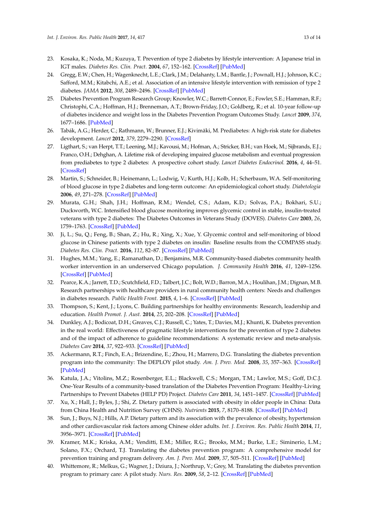- <span id="page-12-0"></span>23. Kosaka, K.; Noda, M.; Kuzuya, T. Prevention of type 2 diabetes by lifestyle intervention: A Japanese trial in IGT males. *Diabetes Res. Clin. Pract.* **2004**, *67*, 152–162. [\[CrossRef\]](http://dx.doi.org/10.1016/j.diabres.2004.06.010) [\[PubMed\]](http://www.ncbi.nlm.nih.gov/pubmed/15649575)
- <span id="page-12-1"></span>24. Gregg, E.W.; Chen, H.; Wagenknecht, L.E.; Clark, J.M.; Delahanty, L.M.; Bantle, J.; Pownall, H.J.; Johnson, K.C.; Safford, M.M.; Kitabchi, A.E.; et al. Association of an intensive lifestyle intervention with remission of type 2 diabetes. *JAMA* **2012**, *308*, 2489–2496. [\[CrossRef\]](http://dx.doi.org/10.1001/jama.2012.67929) [\[PubMed\]](http://www.ncbi.nlm.nih.gov/pubmed/23288372)
- <span id="page-12-2"></span>25. Diabetes Prevention Program Research Group; Knowler, W.C.; Barrett-Connor, E.; Fowler, S.E.; Hamman, R.F.; Christophi, C.A.; Hoffman, H.J.; Brenneman, A.T.; Brown-Friday, J.O.; Goldberg, R.; et al. 10-year follow-up of diabetes incidence and weight loss in the Diabetes Prevention Program Outcomes Study. *Lancet* **2009**, *374*, 1677–1686. [\[PubMed\]](http://www.ncbi.nlm.nih.gov/pubmed/19878986)
- <span id="page-12-3"></span>26. Tabák, A.G.; Herder, C.; Rathmann, W.; Brunner, E.J.; Kivimäki, M. Prediabetes: A high-risk state for diabetes development. *Lancet* **2012**, *379*, 2279–2290. [\[CrossRef\]](http://dx.doi.org/10.1016/S0140-6736(12)60283-9)
- <span id="page-12-4"></span>27. Ligthart, S.; van Herpt, T.T.; Leening, M.J.; Kavousi, M.; Hofman, A.; Stricker, B.H.; van Hoek, M.; Sijbrands, E.J.; Franco, O.H.; Dehghan, A. Lifetime risk of developing impaired glucose metabolism and eventual progression from prediabetes to type 2 diabetes: A prospective cohort study. *Lancet Diabetes Endocrinol.* **2016**, *4*, 44–51. [\[CrossRef\]](http://dx.doi.org/10.1016/S2213-8587(15)00362-9)
- <span id="page-12-5"></span>28. Martin, S.; Schneider, B.; Heinemann, L.; Lodwig, V.; Kurth, H.J.; Kolb, H.; Scherbaum, W.A. Self-monitoring of blood glucose in type 2 diabetes and long-term outcome: An epidemiological cohort study. *Diabetologia* **2006**, *49*, 271–278. [\[CrossRef\]](http://dx.doi.org/10.1007/s00125-005-0083-5) [\[PubMed\]](http://www.ncbi.nlm.nih.gov/pubmed/16362814)
- <span id="page-12-6"></span>29. Murata, G.H.; Shah, J.H.; Hoffman, R.M.; Wendel, C.S.; Adam, K.D.; Solvas, P.A.; Bokhari, S.U.; Duckworth, W.C. Intensified blood glucose monitoring improves glycemic control in stable, insulin-treated veterans with type 2 diabetes: The Diabetes Outcomes in Veterans Study (DOVES). *Diabetes Care* **2003**, *26*, 1759–1763. [\[CrossRef\]](http://dx.doi.org/10.2337/diacare.26.6.1759) [\[PubMed\]](http://www.ncbi.nlm.nih.gov/pubmed/12766106)
- <span id="page-12-7"></span>30. Ji, L.; Su, Q.; Feng, B.; Shan, Z.; Hu, R.; Xing, X.; Xue, Y. Glycemic control and self-monitoring of blood glucose in Chinese patients with type 2 diabetes on insulin: Baseline results from the COMPASS study. *Diabetes Res. Clin. Pract.* **2016**, *112*, 82–87. [\[CrossRef\]](http://dx.doi.org/10.1016/j.diabres.2015.08.005) [\[PubMed\]](http://www.ncbi.nlm.nih.gov/pubmed/26775249)
- <span id="page-12-8"></span>31. Hughes, M.M.; Yang, E.; Ramanathan, D.; Benjamins, M.R. Community-based diabetes community health worker intervention in an underserved Chicago population. *J. Community Health* **2016**, *41*, 1249–1256. [\[CrossRef\]](http://dx.doi.org/10.1007/s10900-016-0212-8) [\[PubMed\]](http://www.ncbi.nlm.nih.gov/pubmed/27286843)
- <span id="page-12-9"></span>32. Pearce, K.A.; Jarrett, T.D.; Scutchfield, F.D.; Talbert, J.C.; Bolt, W.D.; Barron, M.A.; Houlihan, J.M.; Dignan, M.B. Research partnerships with healthcare providers in rural community health centers: Needs and challenges in diabetes research. *Public Health Front.* **2015**, *4*, 1–6. [\[CrossRef\]](http://dx.doi.org/10.5963/PHF0401001) [\[PubMed\]](http://www.ncbi.nlm.nih.gov/pubmed/26457246)
- <span id="page-12-10"></span>33. Thompson, S.; Kent, J.; Lyons, C. Building partnerships for healthy environments: Research, leadership and education. *Health Promot. J. Aust.* **2014**, *25*, 202–208. [\[CrossRef\]](http://dx.doi.org/10.1071/HE14039) [\[PubMed\]](http://www.ncbi.nlm.nih.gov/pubmed/25434860)
- <span id="page-12-11"></span>34. Dunkley, A.J.; Bodicoat, D.H.; Greaves, C.J.; Russell, C.; Yates, T.; Davies, M.J.; Khunti, K. Diabetes prevention in the real world: Effectiveness of pragmatic lifestyle interventions for the prevention of type 2 diabetes and of the impact of adherence to guideline recommendations: A systematic review and meta-analysis. *Diabetes Care* **2014**, *37*, 922–933. [\[CrossRef\]](http://dx.doi.org/10.2337/dc13-2195) [\[PubMed\]](http://www.ncbi.nlm.nih.gov/pubmed/24652723)
- <span id="page-12-12"></span>35. Ackermann, R.T.; Finch, E.A.; Brizendine, E.; Zhou, H.; Marrero, D.G. Translating the diabetes prevention program into the community: The DEPLOY pilot study. *Am. J. Prev. Med.* **2008**, *35*, 357–363. [\[CrossRef\]](http://dx.doi.org/10.1016/j.amepre.2008.06.035) [\[PubMed\]](http://www.ncbi.nlm.nih.gov/pubmed/18779029)
- <span id="page-12-13"></span>36. Katula, J.A.; Vitolins, M.Z.; Rosenberger, E.L.; Blackwell, C.S.; Morgan, T.M.; Lawlor, M.S.; Goff, D.C.J. One-Year Results of a community-based translation of the Diabetes Prevention Program: Healthy-Living Partnerships to Prevent Diabetes (HELP PD) Project. *Diabetes Care* **2011**, *34*, 1451–1457. [\[CrossRef\]](http://dx.doi.org/10.2337/dc10-2115) [\[PubMed\]](http://www.ncbi.nlm.nih.gov/pubmed/21593290)
- <span id="page-12-14"></span>37. Xu, X.; Hall, J.; Byles, J.; Shi, Z. Dietary pattern is associated with obesity in older people in China: Data from China Health and Nutrition Survey (CHNS). *Nutrients* **2015**, *7*, 8170–8188. [\[CrossRef\]](http://dx.doi.org/10.3390/nu7095386) [\[PubMed\]](http://www.ncbi.nlm.nih.gov/pubmed/26404368)
- <span id="page-12-15"></span>38. Sun, J.; Buys, N.J.; Hills, A.P. Dietary pattern and its association with the prevalence of obesity, hypertension and other cardiovascular risk factors among Chinese older adults. *Int. J. Environ. Res. Public Health* **2014**, *11*, 3956–3971. [\[CrossRef\]](http://dx.doi.org/10.3390/ijerph110403956) [\[PubMed\]](http://www.ncbi.nlm.nih.gov/pubmed/24727356)
- <span id="page-12-16"></span>39. Kramer, M.K.; Kriska, A.M.; Venditti, E.M.; Miller, R.G.; Brooks, M.M.; Burke, L.E.; Siminerio, L.M.; Solano, F.X.; Orchard, T.J. Translating the diabetes prevention program: A comprehensive model for prevention training and program delivery. *Am. J. Prev. Med.* **2009**, *37*, 505–511. [\[CrossRef\]](http://dx.doi.org/10.1016/j.amepre.2009.07.020) [\[PubMed\]](http://www.ncbi.nlm.nih.gov/pubmed/19944916)
- <span id="page-12-17"></span>40. Whittemore, R.; Melkus, G.; Wagner, J.; Dziura, J.; Northrup, V.; Grey, M. Translating the diabetes prevention program to primary care: A pilot study. *Nurs. Res.* **2009**, *58*, 2–12. [\[CrossRef\]](http://dx.doi.org/10.1097/NNR.0b013e31818fcef3) [\[PubMed\]](http://www.ncbi.nlm.nih.gov/pubmed/19092550)